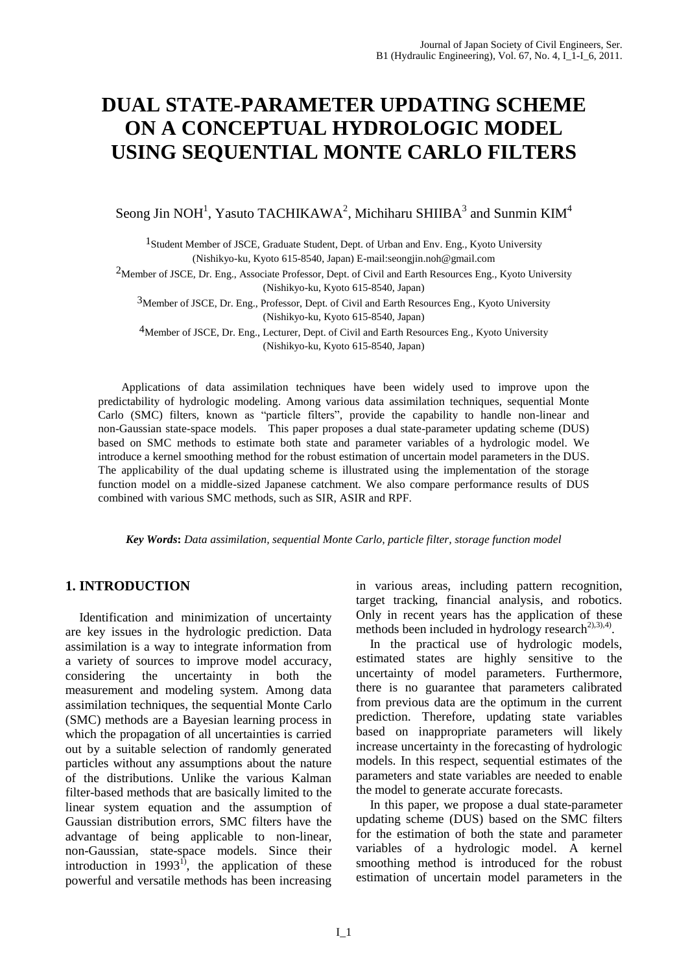# **DUAL STATE-PARAMETER UPDATING SCHEME ON A CONCEPTUAL HYDROLOGIC MODEL USING SEQUENTIAL MONTE CARLO FILTERS**

Seong Jin NOH<sup>1</sup>, Yasuto TACHIKAWA<sup>2</sup>, Michiharu SHIIBA<sup>3</sup> and Sunmin KIM<sup>4</sup>

<sup>1</sup> Student Member of JSCE, Graduate Student, Dept. of Urban and Env. Eng., Kyoto University (Nishikyo-ku, Kyoto 615-8540, Japan) E-mail:seongjin.noh@gmail.com

2Member of JSCE, Dr. Eng., Associate Professor, Dept. of Civil and Earth Resources Eng., Kyoto University (Nishikyo-ku, Kyoto 615-8540, Japan)

3Member of JSCE, Dr. Eng., Professor, Dept. of Civil and Earth Resources Eng., Kyoto University (Nishikyo-ku, Kyoto 615-8540, Japan)

4Member of JSCE, Dr. Eng., Lecturer, Dept. of Civil and Earth Resources Eng., Kyoto University (Nishikyo-ku, Kyoto 615-8540, Japan)

 Applications of data assimilation techniques have been widely used to improve upon the predictability of hydrologic modeling. Among various data assimilation techniques, sequential Monte Carlo (SMC) filters, known as "particle filters", provide the capability to handle non-linear and non-Gaussian state-space models. This paper proposes a dual state-parameter updating scheme (DUS) based on SMC methods to estimate both state and parameter variables of a hydrologic model. We introduce a kernel smoothing method for the robust estimation of uncertain model parameters in the DUS. The applicability of the dual updating scheme is illustrated using the implementation of the storage function model on a middle-sized Japanese catchment. We also compare performance results of DUS combined with various SMC methods, such as SIR, ASIR and RPF.

*Key Words***:** *Data assimilation, sequential Monte Carlo, particle filter, storage function model*

## **1. INTRODUCTION**

Identification and minimization of uncertainty are key issues in the hydrologic prediction. Data assimilation is a way to integrate information from a variety of sources to improve model accuracy, considering the uncertainty in both the measurement and modeling system. Among data assimilation techniques, the sequential Monte Carlo (SMC) methods are a Bayesian learning process in which the propagation of all uncertainties is carried out by a suitable selection of randomly generated particles without any assumptions about the nature of the distributions. Unlike the various Kalman filter-based methods that are basically limited to the linear system equation and the assumption of Gaussian distribution errors, SMC filters have the advantage of being applicable to non-linear, non-Gaussian, state-space models. Since their introduction in 1993<sup>1</sup>, the application of these powerful and versatile methods has been increasing in various areas, including pattern recognition, target tracking, financial analysis, and robotics. Only in recent years has the application of these methods been included in hydrology research<sup>2),3),4)</sup>.

In the practical use of hydrologic models, estimated states are highly sensitive to the uncertainty of model parameters. Furthermore, there is no guarantee that parameters calibrated from previous data are the optimum in the current prediction. Therefore, updating state variables based on inappropriate parameters will likely increase uncertainty in the forecasting of hydrologic models. In this respect, sequential estimates of the parameters and state variables are needed to enable the model to generate accurate forecasts.

In this paper, we propose a dual state-parameter updating scheme (DUS) based on the SMC filters for the estimation of both the state and parameter variables of a hydrologic model. A kernel smoothing method is introduced for the robust estimation of uncertain model parameters in the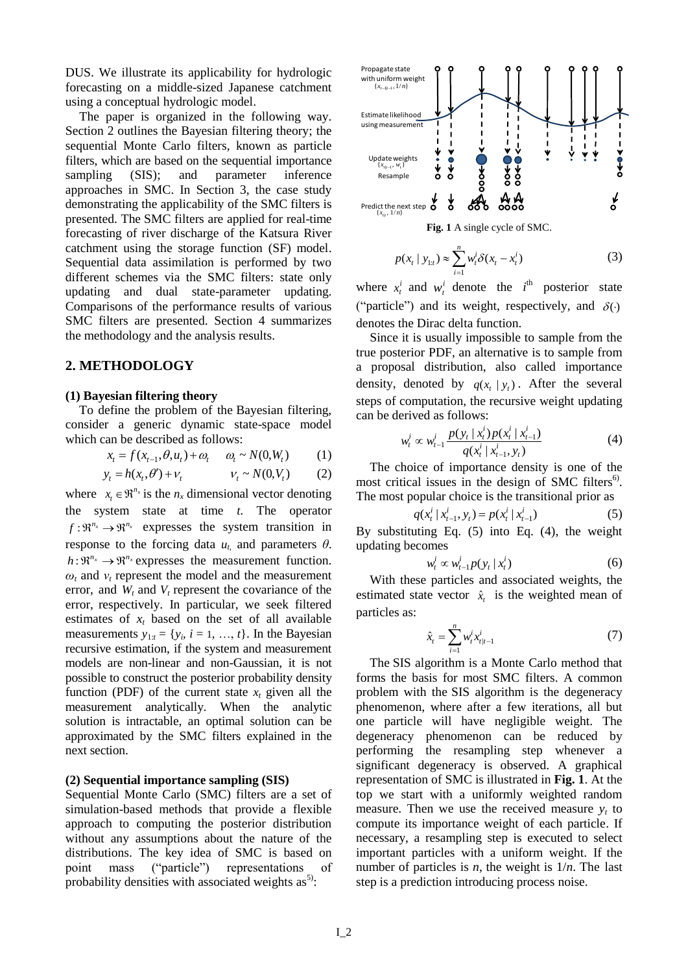DUS. We illustrate its applicability for hydrologic forecasting on a middle-sized Japanese catchment using a conceptual hydrologic model.

The paper is organized in the following way. Section 2 outlines the Bayesian filtering theory; the sequential Monte Carlo filters, known as particle filters, which are based on the sequential importance sampling (SIS); and parameter inference approaches in SMC. In Section 3, the case study demonstrating the applicability of the SMC filters is presented. The SMC filters are applied for real-time forecasting of river discharge of the Katsura River catchment using the storage function (SF) model. Sequential data assimilation is performed by two different schemes via the SMC filters: state only updating and dual state-parameter updating. Comparisons of the performance results of various SMC filters are presented. Section 4 summarizes the methodology and the analysis results.

## **2. METHODOLOGY**

#### **(1) Bayesian filtering theory**

To define the problem of the Bayesian filtering, consider a generic dynamic state-space model which can be described as follows:

$$
x_t = f(x_{t-1}, \theta, u_t) + \omega_t \qquad \omega_t \sim N(0, W_t) \tag{1}
$$

$$
y_t = h(x_t, \theta') + v_t
$$
  $v_t \sim N(0, V_t)$  (2)

where  $x_t \in \mathbb{R}^{n_x}$  is the  $n_x$  dimensional vector denoting the system state at time *t*. The operator  $f: \mathbb{R}^{n_x} \to \mathbb{R}^{n_x}$  expresses the system transition in response to the forcing data  $u_t$ , and parameters  $\theta$ .  $h: \mathbb{R}^{n_x} \rightarrow \mathbb{R}^{n_x}$  expresses the measurement function.  $\omega_t$  and  $\nu_t$  represent the model and the measurement error, and  $W_t$  and  $V_t$  represent the covariance of the error, respectively. In particular, we seek filtered estimates of  $x_t$  based on the set of all available measurements  $y_{1:t} = \{y_i, i = 1, ..., t\}$ . In the Bayesian recursive estimation, if the system and measurement models are non-linear and non-Gaussian, it is not possible to construct the posterior probability density function (PDF) of the current state  $x_t$  given all the measurement analytically. When the analytic solution is intractable, an optimal solution can be approximated by the SMC filters explained in the next section.

#### **(2) Sequential importance sampling (SIS)**

Sequential Monte Carlo (SMC) filters are a set of simulation-based methods that provide a flexible approach to computing the posterior distribution without any assumptions about the nature of the distributions. The key idea of SMC is based on point mass ("particle") representations of probability densities with associated weights as<sup>5)</sup>:



**Fig. 1** A single cycle of SMC.

$$
p(x_t | y_{1:t}) \approx \sum_{i=1}^{n} w_t^i \delta(x_t - x_t^i)
$$
 (3)

where  $x_i^i$  and  $w_i^i$  denote the  $i^{\text{th}}$  posterior state ("particle") and its weight, respectively, and  $\delta(\cdot)$ denotes the Dirac delta function.

Since it is usually impossible to sample from the true posterior PDF, an alternative is to sample from a proposal distribution, also called importance density, denoted by  $q(x_t | y_t)$ . After the several steps of computation, the recursive weight updating can be derived as follows:

$$
w_t^i \propto w_{t-1}^i \frac{p(y_t | x_t^i) p(x_t^i | x_{t-1}^i)}{q(x_t^i | x_{t-1}^i, y_t)}
$$
(4)

The choice of importance density is one of the most critical issues in the design of SMC filters<sup>6)</sup>. The most popular choice is the transitional prior as

$$
q(x_t^i \mid x_{t-1}^i, y_t) = p(x_t^i \mid x_{t-1}^i)
$$
 (5)

By substituting Eq. (5) into Eq. (4), the weight updating becomes

$$
w_t^i \propto w_{t-1}^i p(y_t | x_t^i)
$$
 (6)

With these particles and associated weights, the estimated state vector  $\hat{x}_t$  is the weighted mean of particles as:

$$
\hat{x}_t = \sum_{i=1}^n w_t^i x_{t|t-1}^i \tag{7}
$$

The SIS algorithm is a Monte Carlo method that forms the basis for most SMC filters. A common problem with the SIS algorithm is the degeneracy phenomenon, where after a few iterations, all but one particle will have negligible weight. The degeneracy phenomenon can be reduced by performing the resampling step whenever a significant degeneracy is observed. A graphical representation of SMC is illustrated in **Fig. 1**. At the top we start with a uniformly weighted random measure. Then we use the received measure  $y_t$  to compute its importance weight of each particle. If necessary, a resampling step is executed to select important particles with a uniform weight. If the number of particles is *n*, the weight is 1/*n*. The last step is a prediction introducing process noise.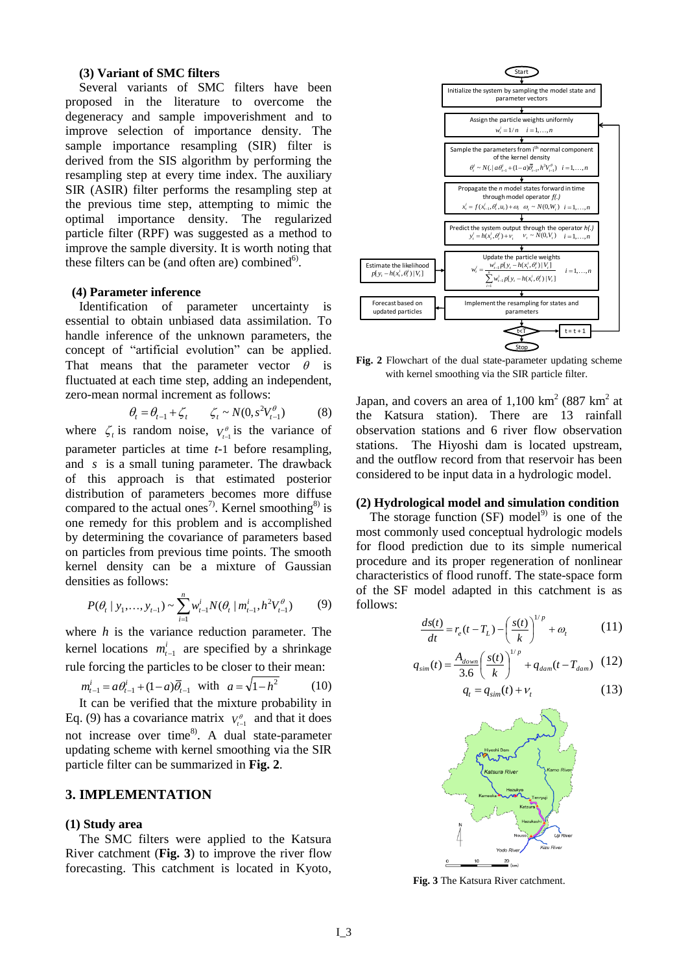### **(3) Variant of SMC filters**

Several variants of SMC filters have been proposed in the literature to overcome the degeneracy and sample impoverishment and to improve selection of importance density. The sample importance resampling (SIR) filter is derived from the SIS algorithm by performing the resampling step at every time index. The auxiliary SIR (ASIR) filter performs the resampling step at the previous time step, attempting to mimic the optimal importance density. The regularized particle filter (RPF) was suggested as a method to improve the sample diversity. It is worth noting that these filters can be (and often are) combined $6$ .

#### **(4) Parameter inference**

Identification of parameter uncertainty is essential to obtain unbiased data assimilation. To handle inference of the unknown parameters, the concept of "artificial evolution" can be applied. That means that the parameter vector  $\theta$  is fluctuated at each time step, adding an independent, zero-mean normal increment as follows:

$$
\theta_t = \theta_{t-1} + \zeta_t \qquad \zeta_t \sim N(0, s^2 V_{t-1}^{\theta}) \tag{8}
$$

where  $\zeta_t$  is random noise,  $V_{t-1}^{\theta}$  is the variance of parameter particles at time *t-*1 before resampling, and *s* is a small tuning parameter. The drawback of this approach is that estimated posterior distribution of parameters becomes more diffuse compared to the actual ones<sup>7)</sup>. Kernel smoothing<sup>8)</sup> is one remedy for this problem and is accomplished by determining the covariance of parameters based on particles from previous time points. The smooth kernel density can be a mixture of Gaussian densities as follows:

$$
P(\theta_t | y_1, \dots, y_{t-1}) \sim \sum_{i=1}^n w_{t-1}^i N(\theta_t | m_{t-1}^i, h^2 V_{t-1}^{\theta})
$$
 (9)

where *h* is the variance reduction parameter. The kernel locations  $m_{t-1}^{i}$  are specified by a shrinkage rule forcing the particles to be closer to their mean:

$$
m_{t-1}^{i} = a\theta_{t-1}^{i} + (1 - a)\overline{\theta}_{t-1} \text{ with } a = \sqrt{1 - h^{2}}
$$
 (10)

It can be verified that the mixture probability in Eq. (9) has a covariance matrix  $V_{t-1}^{\theta}$  and that it does not increase over time<sup>8</sup>. A dual state-parameter updating scheme with kernel smoothing via the SIR particle filter can be summarized in **Fig. 2**.

## **3. IMPLEMENTATION**

#### **(1) Study area**

The SMC filters were applied to the Katsura River catchment (**Fig. 3**) to improve the river flow forecasting. This catchment is located in Kyoto,



**Fig. 2** Flowchart of the dual state-parameter updating scheme with kernel smoothing via the SIR particle filter.

Japan, and covers an area of  $1,100 \text{ km}^2$  (887 km<sup>2</sup> at the Katsura station). There are 13 rainfall observation stations and 6 river flow observation stations. The Hiyoshi dam is located upstream, and the outflow record from that reservoir has been considered to be input data in a hydrologic model.

#### **(2) Hydrological model and simulation condition**

The storage function  $(SF)$  model<sup>9)</sup> is one of the most commonly used conceptual hydrologic models for flood prediction due to its simple numerical procedure and its proper regeneration of nonlinear characteristics of flood runoff. The state-space form of the SF model adapted in this catchment is as follows:

$$
\frac{ds(t)}{dt} = r_e(t - T_L) - \left(\frac{s(t)}{k}\right)^{1/p} + \omega_t \tag{11}
$$

$$
q_{sim}(t) = \frac{A_{down}}{3.6} \left(\frac{s(t)}{k}\right)^{1/p} + q_{dam}(t - T_{dam}) \quad (12)
$$

$$
q_t = q_{sim}(t) + v_t \tag{13}
$$



**Fig. 3** The Katsura River catchment.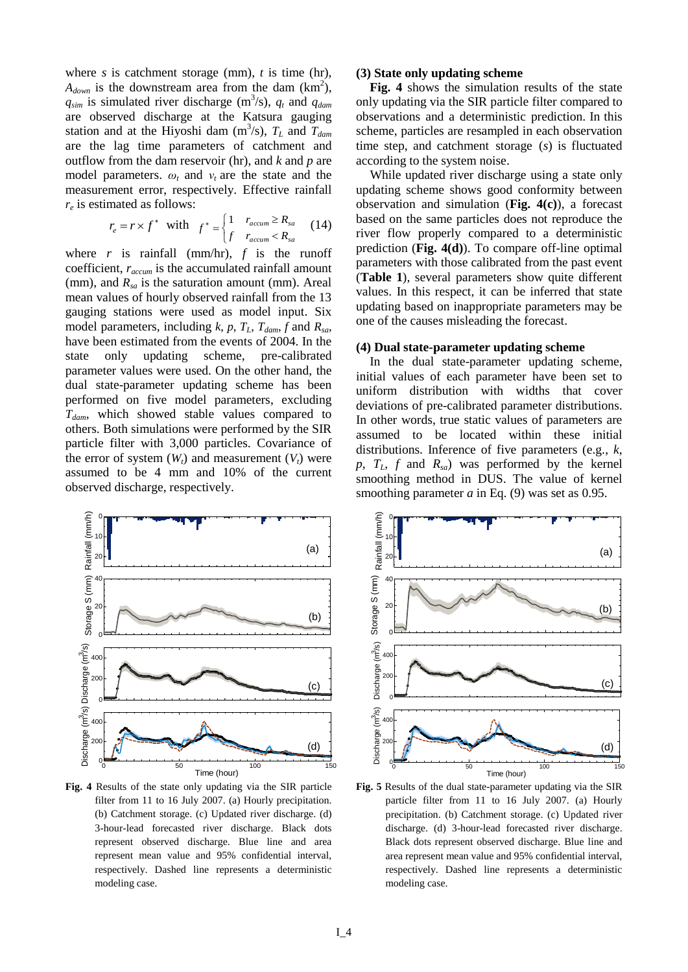where *s* is catchment storage (mm), *t* is time (hr),  $A_{down}$  is the downstream area from the dam  $(km^2)$ ,  $q_{sim}$  is simulated river discharge (m<sup>3</sup>/s),  $q_t$  and  $q_{dam}$ are observed discharge at the Katsura gauging station and at the Hiyoshi dam  $(m^3/s)$ ,  $T_L$  and  $T_{dam}$ are the lag time parameters of catchment and outflow from the dam reservoir (hr), and *k* and *p* are model parameters.  $\omega_t$  and  $\nu_t$  are the state and the measurement error, respectively. Effective rainfall *re* is estimated as follows:

$$
r_e = r \times f^* \quad \text{with} \quad f^* = \begin{cases} 1 & r_{accum} \ge R_{sa} \\ f & r_{accum} < R_{sa} \end{cases} \tag{14}
$$

where  $r$  is rainfall (mm/hr),  $f$  is the runoff coefficient, *raccum* is the accumulated rainfall amount (mm), and *Rsa* is the saturation amount (mm). Areal mean values of hourly observed rainfall from the 13 gauging stations were used as model input. Six model parameters, including  $k$ ,  $p$ ,  $T_L$ ,  $T_{dam}$ ,  $f$  and  $R_{sa}$ , have been estimated from the events of 2004. In the state only updating scheme, pre-calibrated parameter values were used. On the other hand, the dual state-parameter updating scheme has been performed on five model parameters, excluding *Tdam*, which showed stable values compared to others. Both simulations were performed by the SIR particle filter with 3,000 particles. Covariance of the error of system  $(W_t)$  and measurement  $(V_t)$  were assumed to be 4 mm and 10% of the current observed discharge, respectively.

## **(3) State only updating scheme**

**Fig. 4** shows the simulation results of the state only updating via the SIR particle filter compared to observations and a deterministic prediction. In this scheme, particles are resampled in each observation time step, and catchment storage (*s*) is fluctuated according to the system noise.

While updated river discharge using a state only updating scheme shows good conformity between observation and simulation (**Fig. 4(c)**), a forecast based on the same particles does not reproduce the river flow properly compared to a deterministic prediction (**Fig. 4(d)**). To compare off-line optimal parameters with those calibrated from the past event (**Table 1**), several parameters show quite different values. In this respect, it can be inferred that state updating based on inappropriate parameters may be one of the causes misleading the forecast.

#### **(4) Dual state-parameter updating scheme**

In the dual state-parameter updating scheme, initial values of each parameter have been set to uniform distribution with widths that cover deviations of pre-calibrated parameter distributions. In other words, true static values of parameters are assumed to be located within these initial distributions. Inference of five parameters (e.g., *k*, *p*, *TL*, *f* and *Rsa*) was performed by the kernel smoothing method in DUS. The value of kernel smoothing parameter *a* in Eq. (9) was set as 0.95.



**Fig. 4** Results of the state only updating via the SIR particle filter from 11 to 16 July 2007. (a) Hourly precipitation. (b) Catchment storage. (c) Updated river discharge. (d) 3-hour-lead forecasted river discharge. Black dots represent observed discharge. Blue line and area represent mean value and 95% confidential interval, respectively. Dashed line represents a deterministic modeling case.



**Fig. 5** Results of the dual state-parameter updating via the SIR particle filter from 11 to 16 July 2007. (a) Hourly precipitation. (b) Catchment storage. (c) Updated river discharge. (d) 3-hour-lead forecasted river discharge. Black dots represent observed discharge. Blue line and area represent mean value and 95% confidential interval, respectively. Dashed line represents a deterministic modeling case.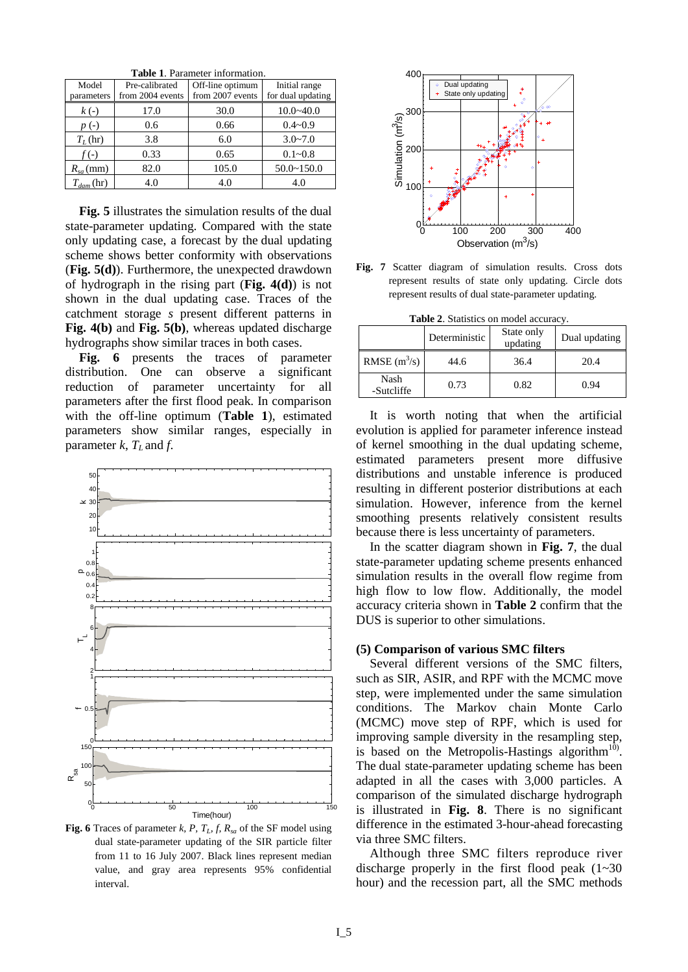| <b>Table 1.</b> Parameter information. |                  |                  |                   |  |
|----------------------------------------|------------------|------------------|-------------------|--|
| Model                                  | Pre-calibrated   | Off-line optimum | Initial range     |  |
| parameters                             | from 2004 events | from 2007 events | for dual updating |  |
| $k(\cdot)$                             | 17.0             | 30.0             | $10.0 - 40.0$     |  |
| $p(\cdot)$                             | 0.6              | 0.66             | $0.4 - 0.9$       |  |
| $T_L$ (hr)                             | 3.8              | 6.0              | $3.0 - 7.0$       |  |
| $f(-)$                                 | 0.33             | 0.65             | $0.1 - 0.8$       |  |
| $R_{sa}$ (mm)                          | 82.0             | 105.0            | $50.0 - 150.0$    |  |
| $T_{dam}$ (hr)                         | 4.0              | 4.0              | 4.0               |  |

**Table 1**. Parameter information.

**Fig. 5** illustrates the simulation results of the dual state-parameter updating. Compared with the state only updating case, a forecast by the dual updating scheme shows better conformity with observations (**Fig. 5(d)**). Furthermore, the unexpected drawdown of hydrograph in the rising part (**Fig. 4(d)**) is not shown in the dual updating case. Traces of the catchment storage *s* present different patterns in **Fig. 4(b)** and **Fig. 5(b)**, whereas updated discharge hydrographs show similar traces in both cases.

**Fig. 6** presents the traces of parameter distribution. One can observe a significant reduction of parameter uncertainty for all parameters after the first flood peak. In comparison with the off-line optimum (**Table 1**), estimated parameters show similar ranges, especially in parameter  $k$ ,  $T_L$  and  $f$ .



**Fig. 6** Traces of parameter *k, P, T<sub>L</sub>, f, R<sub>sa</sub>* of the SF model using dual state-parameter updating of the SIR particle filter from 11 to 16 July 2007. Black lines represent median value, and gray area represents 95% confidential interval.



**Fig. 7** Scatter diagram of simulation results. Cross dots represent results of state only updating. Circle dots represent results of dual state-parameter updating.

**Table 2**. Statistics on model accuracy.

|                    | Deterministic | State only<br>updating | Dual updating |
|--------------------|---------------|------------------------|---------------|
| RMSE $(m^3/s)$     | 44.6          | 36.4                   | 20.4          |
| Nash<br>-Sutcliffe | 0.73          | 0.82                   | 0.94          |

It is worth noting that when the artificial evolution is applied for parameter inference instead of kernel smoothing in the dual updating scheme, estimated parameters present more diffusive distributions and unstable inference is produced resulting in different posterior distributions at each simulation. However, inference from the kernel smoothing presents relatively consistent results because there is less uncertainty of parameters.

In the scatter diagram shown in **Fig. 7**, the dual state-parameter updating scheme presents enhanced simulation results in the overall flow regime from high flow to low flow. Additionally, the model accuracy criteria shown in **Table 2** confirm that the DUS is superior to other simulations.

## **(5) Comparison of various SMC filters**

Several different versions of the SMC filters, such as SIR, ASIR, and RPF with the MCMC move step, were implemented under the same simulation conditions. The Markov chain Monte Carlo (MCMC) move step of RPF, which is used for improving sample diversity in the resampling step, is based on the Metropolis-Hastings algorithm<sup>10</sup> . The dual state-parameter updating scheme has been adapted in all the cases with 3,000 particles. A comparison of the simulated discharge hydrograph is illustrated in **Fig. 8**. There is no significant difference in the estimated 3-hour-ahead forecasting via three SMC filters.

Although three SMC filters reproduce river discharge properly in the first flood peak  $(1-30)$ hour) and the recession part, all the SMC methods